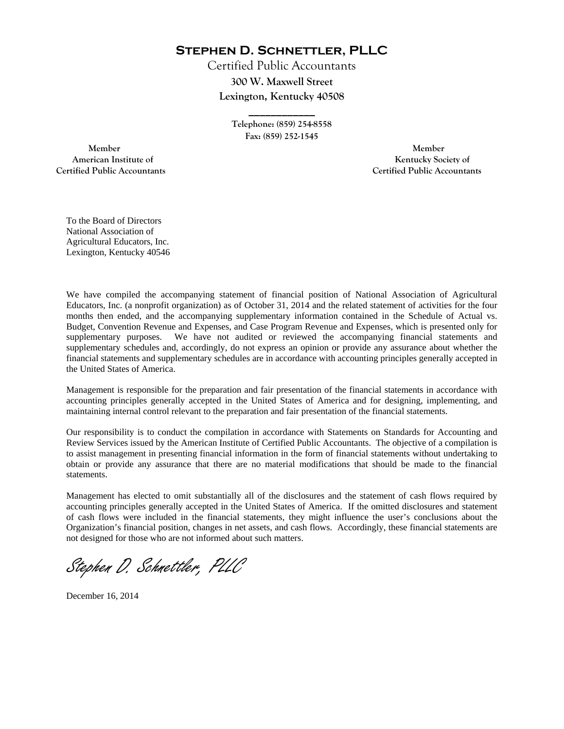**Stephen D. Schnettler, PLLC**

Certified Public Accountants **300 W. Maxwell Street Lexington, Kentucky 40508** 

> **Telephone: (859) 254-8558 Fax: (859) 252-1545**

**\_\_\_\_\_\_\_\_\_\_\_\_** 

 **Member Member Certified Public Accountants Certified Public Accountants** 

American Institute of **Kentucky Society of American Institute of** 

To the Board of Directors National Association of Agricultural Educators, Inc. Lexington, Kentucky 40546

We have compiled the accompanying statement of financial position of National Association of Agricultural Educators, Inc. (a nonprofit organization) as of October 31, 2014 and the related statement of activities for the four months then ended, and the accompanying supplementary information contained in the Schedule of Actual vs. Budget, Convention Revenue and Expenses, and Case Program Revenue and Expenses, which is presented only for supplementary purposes. We have not audited or reviewed the accompanying financial statements and supplementary schedules and, accordingly, do not express an opinion or provide any assurance about whether the financial statements and supplementary schedules are in accordance with accounting principles generally accepted in the United States of America.

Management is responsible for the preparation and fair presentation of the financial statements in accordance with accounting principles generally accepted in the United States of America and for designing, implementing, and maintaining internal control relevant to the preparation and fair presentation of the financial statements.

Our responsibility is to conduct the compilation in accordance with Statements on Standards for Accounting and Review Services issued by the American Institute of Certified Public Accountants. The objective of a compilation is to assist management in presenting financial information in the form of financial statements without undertaking to obtain or provide any assurance that there are no material modifications that should be made to the financial statements.

Management has elected to omit substantially all of the disclosures and the statement of cash flows required by accounting principles generally accepted in the United States of America. If the omitted disclosures and statement of cash flows were included in the financial statements, they might influence the user's conclusions about the Organization's financial position, changes in net assets, and cash flows. Accordingly, these financial statements are not designed for those who are not informed about such matters.

Stephen D. Schnettler, PLLC

December 16, 2014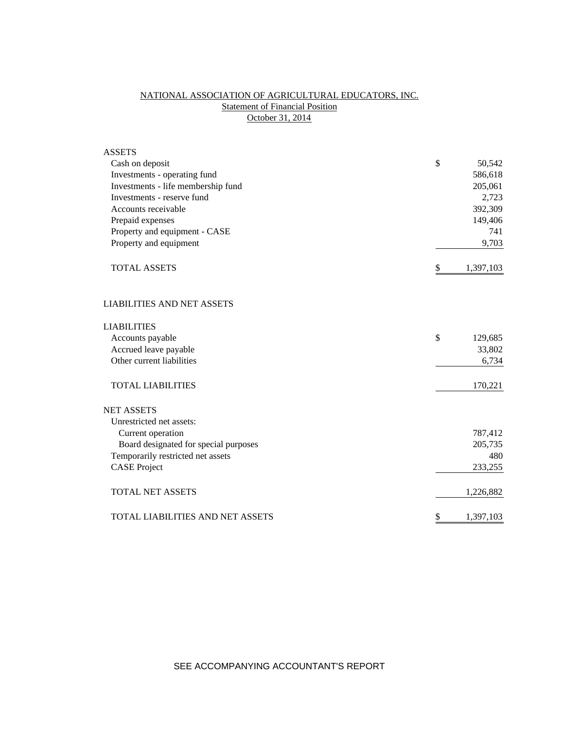# NATIONAL ASSOCIATION OF AGRICULTURAL EDUCATORS, INC. **Statement of Financial Position** October 31, 2014

| <b>ASSETS</b>                         |                 |
|---------------------------------------|-----------------|
| Cash on deposit                       | \$<br>50,542    |
| Investments - operating fund          | 586,618         |
| Investments - life membership fund    | 205,061         |
| Investments - reserve fund            | 2,723           |
| Accounts receivable                   | 392,309         |
| Prepaid expenses                      | 149,406         |
| Property and equipment - CASE         | 741             |
| Property and equipment                | 9,703           |
| <b>TOTAL ASSETS</b>                   | \$<br>1,397,103 |
| <b>LIABILITIES AND NET ASSETS</b>     |                 |
| <b>LIABILITIES</b>                    |                 |
| Accounts payable                      | \$<br>129,685   |
| Accrued leave payable                 | 33,802          |
| Other current liabilities             | 6,734           |
| <b>TOTAL LIABILITIES</b>              | 170,221         |
| <b>NET ASSETS</b>                     |                 |
| Unrestricted net assets:              |                 |
| Current operation                     | 787,412         |
| Board designated for special purposes | 205,735         |
| Temporarily restricted net assets     | 480             |
| <b>CASE Project</b>                   | 233,255         |
| <b>TOTAL NET ASSETS</b>               | 1,226,882       |
| TOTAL LIABILITIES AND NET ASSETS      | \$<br>1,397,103 |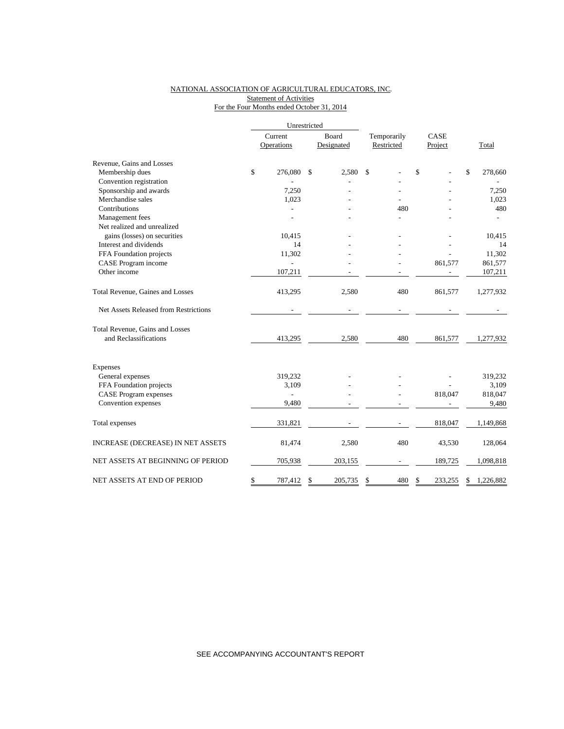## NATIONAL ASSOCIATION OF AGRICULTURAL EDUCATORS, INC. **Statement of Activities** For the Four Months ended October 31, 2014

|                                       |         | Unrestricted   |       |            |             |      |         |                 |
|---------------------------------------|---------|----------------|-------|------------|-------------|------|---------|-----------------|
|                                       | Current |                | Board |            | Temporarily | CASE |         |                 |
|                                       |         | Operations     |       | Designated | Restricted  |      | Project | Total           |
| Revenue, Gains and Losses             |         |                |       |            |             |      |         |                 |
| Membership dues                       | \$      | 276,080        | \$    | 2,580      | \$          | \$   |         | \$<br>278,660   |
| Convention registration               |         |                |       |            |             |      |         |                 |
| Sponsorship and awards                |         | 7,250          |       |            |             |      |         | 7,250           |
| Merchandise sales                     |         | 1,023          |       |            |             |      |         | 1,023           |
| Contributions                         |         |                |       |            | 480         |      |         | 480             |
| Management fees                       |         |                |       |            |             |      |         |                 |
| Net realized and unrealized           |         |                |       |            |             |      |         |                 |
| gains (losses) on securities          |         | 10,415         |       |            |             |      |         | 10,415          |
| Interest and dividends                |         | 14             |       |            |             |      |         | 14              |
| FFA Foundation projects               |         | 11,302         |       |            |             |      |         | 11,302          |
| CASE Program income                   |         | $\overline{a}$ |       |            |             |      | 861,577 | 861,577         |
| Other income                          |         | 107,211        |       |            |             |      |         | 107,211         |
| Total Revenue, Gaines and Losses      |         | 413,295        |       | 2,580      | 480         |      | 861,577 | 1,277,932       |
| Net Assets Released from Restrictions |         |                |       |            |             |      |         |                 |
| Total Revenue, Gains and Losses       |         |                |       |            |             |      |         |                 |
| and Reclassifications                 |         | 413,295        |       | 2,580      | 480         |      | 861,577 | 1,277,932       |
| Expenses                              |         |                |       |            |             |      |         |                 |
| General expenses                      |         | 319,232        |       |            |             |      |         | 319,232         |
| FFA Foundation projects               |         | 3,109          |       |            |             |      |         | 3,109           |
| <b>CASE</b> Program expenses          |         | L,             |       |            |             |      | 818,047 | 818,047         |
| Convention expenses                   |         | 9,480          |       |            |             |      |         | 9,480           |
|                                       |         |                |       |            |             |      |         |                 |
| Total expenses                        |         | 331,821        |       |            |             |      | 818,047 | 1,149,868       |
| INCREASE (DECREASE) IN NET ASSETS     |         | 81,474         |       | 2,580      | 480         |      | 43,530  | 128,064         |
| NET ASSETS AT BEGINNING OF PERIOD     |         | 705,938        |       | 203,155    |             |      | 189,725 | 1,098,818       |
| NET ASSETS AT END OF PERIOD           | \$      | 787,412        | \$    | 205,735    | \$<br>480   | S    | 233,255 | \$<br>1,226,882 |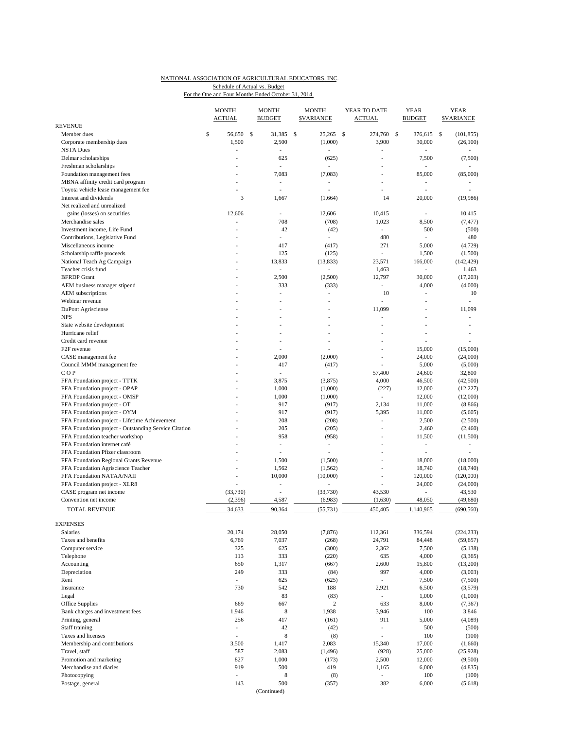#### NATIONAL ASSOCIATION OF AGRICULTURAL EDUCATORS, INC. For the One and Four Months Ended October 31, 2014 Schedule of Actual vs. Budget

|                                                                                                        | <b>MONTH</b><br><b>ACTUAL</b> |    | <b>MONTH</b><br><b>BUDGET</b> | <b>MONTH</b><br><b>SVARIANCE</b> | YEAR TO DATE<br><b>ACTUAL</b> | <b>YEAR</b><br><b>BUDGET</b> | <b>YEAR</b><br><b>SVARIANCE</b> |
|--------------------------------------------------------------------------------------------------------|-------------------------------|----|-------------------------------|----------------------------------|-------------------------------|------------------------------|---------------------------------|
| <b>REVENUE</b>                                                                                         |                               |    |                               |                                  |                               | 376,615                      |                                 |
| Member dues                                                                                            | \$<br>56,650                  | \$ | 31,385                        | \$<br>25,265                     | \$<br>274,760                 | \$                           | (101, 855)<br>\$                |
| Corporate membership dues<br><b>NSTA Dues</b>                                                          | 1,500<br>$\overline{a}$       |    | 2,500                         | (1,000)                          | 3,900                         | 30,000<br>$\overline{a}$     | (26,100)                        |
| Delmar scholarships                                                                                    |                               |    | 625                           | (625)                            | L,                            | 7,500                        | (7,500)                         |
| Freshman scholarships                                                                                  |                               |    |                               |                                  | $\overline{a}$                |                              |                                 |
| Foundation management fees                                                                             |                               |    | 7,083                         | (7,083)                          | $\overline{a}$                | 85,000                       | (85,000)                        |
| MBNA affinity credit card program                                                                      |                               |    | $\overline{\phantom{a}}$      | $\frac{1}{2}$                    | $\overline{a}$                | $\overline{\phantom{a}}$     |                                 |
| Toyota vehicle lease management fee                                                                    | ä,                            |    | ÷,                            | ÷.                               | ä,                            | ÷                            |                                 |
| Interest and dividends                                                                                 |                               | 3  | 1,667                         | (1,664)                          | 14                            | 20,000                       | (19,986)                        |
| Net realized and unrealized                                                                            |                               |    |                               |                                  |                               |                              |                                 |
| gains (losses) on securities                                                                           | 12,606                        |    | ÷,                            | 12,606                           | 10.415                        | ä,                           | 10,415                          |
| Merchandise sales                                                                                      | L,                            |    | 708                           | (708)                            | 1,023                         | 8,500                        | (7, 477)                        |
| Investment income, Life Fund                                                                           |                               |    | 42                            | (42)                             | ٠                             | 500                          | (500)                           |
| Contributions, Legislative Fund                                                                        |                               |    | ÷,                            | $\overline{\phantom{a}}$         | 480                           | Ĭ.                           | 480                             |
| Miscellaneous income                                                                                   |                               |    | 417                           | (417)                            | 271                           | 5,000                        | (4, 729)                        |
| Scholarship raffle proceeds                                                                            | ä,                            |    | 125                           | (125)                            | ÷,                            | 1,500                        | (1,500)                         |
| National Teach Ag Campaign                                                                             |                               |    | 13,833                        | (13, 833)                        | 23,571                        | 166,000                      | (142, 429)                      |
| Teacher crisis fund                                                                                    |                               |    | ÷.                            | L,                               | 1,463                         | ÷,                           | 1,463                           |
| <b>BFRDP</b> Grant                                                                                     |                               |    | 2,500                         | (2,500)                          | 12,797                        | 30,000                       | (17,203)                        |
| AEM business manager stipend                                                                           |                               |    | 333                           | (333)                            | ٠                             | 4,000                        | (4,000)                         |
| AEM subscriptions                                                                                      |                               |    | $\overline{\phantom{a}}$      | ÷,                               | 10                            | ä,                           | 10                              |
| Webinar revenue                                                                                        |                               |    |                               |                                  | $\overline{a}$                | Ĭ.                           | ÷.                              |
| DuPont Agrisciense                                                                                     |                               |    |                               |                                  | 11,099                        | Ĭ.                           | 11,099                          |
| <b>NPS</b>                                                                                             |                               |    |                               | ä,                               | $\overline{a}$                | J.                           | ÷,                              |
| State website development                                                                              |                               |    |                               | ä,                               |                               | L,                           | Ĭ.                              |
| Hurricane relief                                                                                       |                               |    |                               |                                  | L,                            | J.                           | ÷,                              |
| Credit card revenue                                                                                    |                               |    |                               |                                  |                               |                              |                                 |
| F <sub>2F</sub> revenue                                                                                |                               |    |                               |                                  |                               | 15,000                       | (15,000)                        |
| CASE management fee                                                                                    |                               |    | 2,000                         | (2,000)                          | L,                            | 24,000                       | (24,000)                        |
| Council MMM management fee                                                                             |                               |    | 417                           | (417)                            | Ĭ.                            | 5,000                        | (5,000)                         |
| COP                                                                                                    |                               |    |                               |                                  | 57,400                        | 24,600                       | 32,800                          |
| FFA Foundation project - TTTK                                                                          |                               |    | 3,875                         | (3,875)                          | 4,000                         | 46,500                       | (42,500)                        |
| FFA Foundation project - OPAP                                                                          |                               |    | 1,000                         | (1,000)                          | (227)                         | 12,000                       | (12, 227)                       |
| FFA Foundation project - OMSP                                                                          |                               |    | 1,000                         | (1,000)                          | ÷                             | 12,000                       | (12,000)                        |
| FFA Foundation project - OT                                                                            |                               |    | 917                           | (917)                            | 2,134                         | 11,000                       | (8, 866)                        |
| FFA Foundation project - OYM                                                                           |                               |    | 917<br>208                    | (917)<br>(208)                   | 5,395<br>÷,                   | 11,000<br>2,500              | (5,605)                         |
| FFA Foundation project - Lifetime Achievement<br>FFA Foundation project - Outstanding Service Citation |                               |    | 205                           | (205)                            | ٠                             | 2,460                        | (2,500)<br>(2,460)              |
| FFA Foundation teacher workshop                                                                        |                               |    | 958                           | (958)                            | L,                            | 11,500                       | (11,500)                        |
| FFA Foundation internet café                                                                           |                               |    | ÷,                            | $\overline{\phantom{a}}$         |                               | $\overline{\phantom{0}}$     | $\overline{\phantom{a}}$        |
| FFA Foundation Pfizer classroom                                                                        |                               |    | ٠                             | ÷,                               | Ĭ.                            | ä,                           | ÷,                              |
| FFA Foundation Regional Grants Revenue                                                                 |                               |    | 1,500                         | (1,500)                          | ä,                            | 18,000                       | (18,000)                        |
| FFA Foundation Agriscience Teacher                                                                     |                               |    | 1,562                         | (1, 562)                         | Ĭ.                            | 18,740                       | (18,740)                        |
| FFA Foundation NATAA/NAII                                                                              |                               |    | 10,000                        | (10,000)                         | $\overline{a}$                | 120,000                      | (120,000)                       |
| FFA Foundation project - XLR8                                                                          |                               |    | $\overline{\phantom{a}}$      | ٠                                | ÷,                            | 24,000                       | (24,000)                        |
| CASE program net income                                                                                | (33,730)                      |    | ÷,                            | (33,730)                         | 43,530                        |                              | 43,530                          |
| Convention net income                                                                                  | (2,396)                       |    | 4,587                         | (6,983)                          | (1,630)                       | 48,050                       | (49,680)                        |
| <b>TOTAL REVENUE</b>                                                                                   | 34,633                        |    | 90,364                        | (55, 731)                        | 450,405                       | 1,140,965                    | (690, 560)                      |
|                                                                                                        |                               |    |                               |                                  |                               |                              |                                 |
| <b>EXPENSES</b>                                                                                        |                               |    |                               |                                  |                               |                              |                                 |
| Salaries                                                                                               | 20,174                        |    | 28,050                        | (7, 876)                         | 112,361                       | 336,594                      | (224, 233)                      |
| Taxes and benefits                                                                                     | 6,769                         |    | 7,037                         | (268)                            | 24,791                        | 84,448                       | (59, 657)                       |
| Computer service                                                                                       | 325                           |    | 625                           | (300)                            | 2,362                         | 7,500                        | (5, 138)                        |
| Telephone                                                                                              | 113                           |    | 333                           | (220)                            | 635                           | 4,000                        | (3,365)                         |
| Accounting                                                                                             | 650                           |    | 1,317                         | (667)                            | 2,600                         | 15,800                       | (13,200)                        |
| Depreciation                                                                                           | 249                           |    | 333                           | (84)                             | 997                           | 4,000                        | (3,003)                         |
| Rent                                                                                                   | $\overline{\phantom{a}}$      |    | 625                           | (625)                            | $\overline{\phantom{a}}$      | 7,500                        | (7,500)                         |
| Insurance                                                                                              | 730                           |    | 542                           | 188                              | 2,921                         | 6,500                        | (3,579)                         |
| Legal                                                                                                  |                               |    | 83                            | (83)                             | $\overline{\phantom{a}}$      | 1,000                        | (1,000)                         |
| Office Supplies                                                                                        | 669                           |    | 667                           | 2                                | 633                           | 8,000                        | (7, 367)                        |
| Bank charges and investment fees                                                                       | 1,946                         |    | $\,$ 8 $\,$                   | 1,938                            | 3,946                         | 100                          | 3,846                           |
| Printing, general                                                                                      | 256                           |    | 417                           | (161)                            | 911                           | 5,000                        | (4,089)                         |
| Staff training                                                                                         | $\overline{a}$                |    | 42                            | (42)                             | $\overline{\phantom{0}}$      | 500                          | (500)                           |
| Taxes and licenses                                                                                     | $\overline{\phantom{a}}$      |    | 8                             | (8)                              | L.                            | 100                          | (100)                           |
| Membership and contributions                                                                           | 3,500                         |    | 1,417                         | 2,083                            | 15,340                        | 17,000                       | (1,660)                         |
| Travel, staff                                                                                          | 587                           |    | 2,083                         | (1, 496)                         | (928)                         | 25,000                       | (25, 928)                       |
| Promotion and marketing                                                                                | 827                           |    | 1,000                         | (173)                            | 2,500                         | 12,000                       | (9,500)                         |
| Merchandise and diaries                                                                                | 919                           |    | 500                           | 419                              | 1,165                         | 6,000                        | (4, 835)                        |
| Photocopying                                                                                           | $\frac{1}{2}$                 |    | 8                             | (8)                              | ÷.                            | 100                          | (100)                           |
| Postage, general                                                                                       | 143                           |    | 500                           | (357)                            | 382                           | 6,000                        | (5,618)                         |
|                                                                                                        |                               |    | (Continued)                   |                                  |                               |                              |                                 |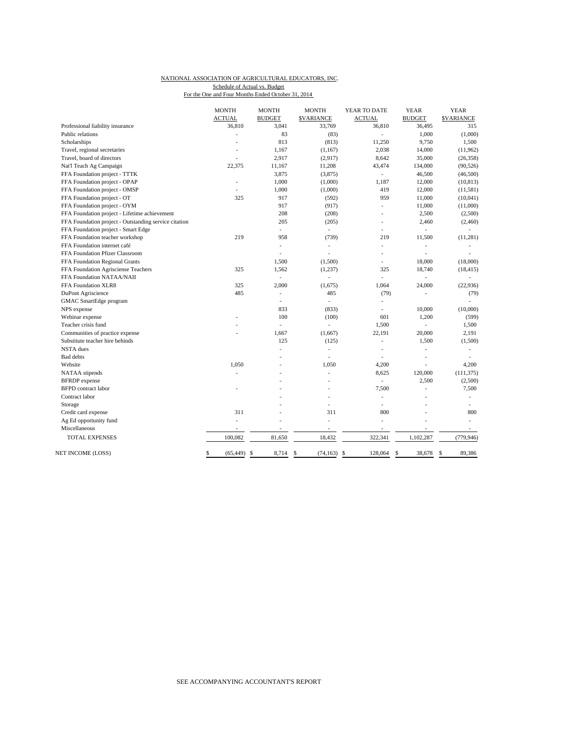#### NATIONAL ASSOCIATION OF AGRICULTURAL EDUCATORS, INC. For the One and Four Months Ended October 31, 2014 Schedule of Actual vs. Budget

|                                                       | <b>MONTH</b>    | <b>MONTH</b>                | <b>MONTH</b>             | YEAR TO DATE             | <b>YEAR</b>    | <b>YEAR</b>              |
|-------------------------------------------------------|-----------------|-----------------------------|--------------------------|--------------------------|----------------|--------------------------|
|                                                       | <b>ACTUAL</b>   | <b>BUDGET</b>               | <b>\$VARIANCE</b>        | <b>ACTUAL</b>            | <b>BUDGET</b>  | <b>SVARIANCE</b>         |
| Professional liability insurance                      | 36,810          | 3,041                       | 33,769                   | 36,810                   | 36,495         | 315                      |
| Public relations                                      | Ĭ.              | 83                          | (83)                     | $\overline{\phantom{a}}$ | 1,000          | (1,000)                  |
| Scholarships                                          |                 | 813                         | (813)                    | 11,250                   | 9,750          | 1,500                    |
| Travel, regional secretaries                          | $\overline{a}$  | 1,167                       | (1, 167)                 | 2,038                    | 14,000         | (11,962)                 |
| Travel, board of directors                            |                 | 2,917                       | (2,917)                  | 8,642                    | 35,000         | (26, 358)                |
| Nat'l Teach Ag Campaign                               | 22,375          | 11,167                      | 11,208                   | 43,474                   | 134,000        | (90, 526)                |
| FFA Foundation project - TTTK                         |                 | 3,875                       | (3,875)                  | $\overline{\phantom{a}}$ | 46,500         | (46,500)                 |
| FFA Foundation project - OPAP                         | Ĭ.              | 1,000                       | (1,000)                  | 1,187                    | 12,000         | (10, 813)                |
| FFA Foundation project - OMSP                         |                 | 1,000                       | (1,000)                  | 419                      | 12,000         | (11, 581)                |
| FFA Foundation project - OT                           | 325             | 917                         | (592)                    | 959                      | 11,000         | (10,041)                 |
| FFA Foundation project - OYM                          |                 | 917                         | (917)                    | $\overline{a}$           | 11,000         | (11,000)                 |
| FFA Foundation project - Lifetime achievement         |                 | 208                         | (208)                    | ÷,                       | 2,500          | (2,500)                  |
| FFA Foundation project - Outstanding service citation |                 | 205                         | (205)                    | L,                       | 2,460          | (2,460)                  |
| FFA Foundation project - Smart Edge                   |                 | ÷.                          | $\overline{\phantom{a}}$ | $\overline{a}$           | $\overline{a}$ | ÷                        |
| FFA Foundation teacher workshop                       | 219             | 958                         | (739)                    | 219                      | 11,500         | (11, 281)                |
| FFA Foundation internet café                          |                 | ÷,                          | $\overline{\phantom{a}}$ | ÷,                       | ÷,             | ÷,                       |
| FFA Foundation Pfizer Classroom                       |                 | ä,                          | ä,                       | ٠                        | L,             | ÷,                       |
| FFA Foundation Regional Grants                        |                 | 1,500                       | (1,500)                  |                          | 18,000         | (18,000)                 |
| FFA Foundation Agrisciense Teachers                   | 325             | 1,562                       | (1,237)                  | 325                      | 18,740         | (18, 415)                |
| FFA Foundation NATAA/NAII                             |                 | $\mathcal{L}_{\mathcal{A}}$ |                          | L,                       | $\overline{a}$ | $\sim$                   |
| FFA Foundation XLR8                                   | 325             | 2,000                       | (1,675)                  | 1,064                    | 24,000         | (22, 936)                |
| DuPont Agriscience                                    | 485             | ÷,                          | 485                      | (79)                     | ä,             | (79)                     |
| GMAC SmartEdge program                                |                 | ÷,                          | $\overline{\phantom{a}}$ | L,                       |                | ÷,                       |
| NPS expense                                           |                 | 833                         | (833)                    | ä,                       | 10,000         | (10,000)                 |
| Webinar expense                                       |                 | 100                         | (100)                    | 601                      | 1,200          | (599)                    |
| Teacher crisis fund                                   |                 | ÷.                          | ÷.                       | 1,500                    | L,             | 1,500                    |
| Communities of practice expense                       |                 | 1,667                       | (1,667)                  | 22,191                   | 20,000         | 2,191                    |
| Substitute teacher hire behinds                       |                 | 125                         | (125)                    | L,                       | 1,500          | (1,500)                  |
| <b>NSTA</b> dues                                      |                 | ä,                          | $\overline{a}$           | L,                       | $\overline{a}$ | $\overline{\phantom{a}}$ |
| <b>Bad</b> debts                                      |                 | ÷,                          | ä,                       | ÷,                       | $\overline{a}$ | ٠                        |
| Website                                               | 1,050           |                             | 1,050                    | 4,200                    |                | 4,200                    |
| NATAA stipends                                        |                 |                             |                          | 8,625                    | 120,000        | (111, 375)               |
| <b>BFRDP</b> expense                                  |                 |                             |                          | $\overline{\phantom{a}}$ | 2,500          | (2,500)                  |
| <b>BFPD</b> contract labor                            |                 |                             |                          | 7,500                    | L,             | 7,500                    |
| Contract labor                                        |                 |                             |                          | L,                       | J.             | ÷,                       |
| Storage                                               |                 |                             | ä,                       | ÷,                       |                |                          |
| Credit card expense                                   | 311             |                             | 311                      | 800                      | Ĭ.             | 800                      |
| Ag Ed opportunity fund                                | L.              |                             | ä,                       | $\overline{a}$           |                | ٠                        |
| Miscellaneous                                         | ÷,              | Ĭ.                          | ٠                        | ÷,                       | L,             | $\sim$                   |
| <b>TOTAL EXPENSES</b>                                 | 100.082         | 81,650                      | 18,432                   | 322,341                  | 1,102,287      | (779, 946)               |
| NET INCOME (LOSS)                                     | \$<br>(65, 449) | -S<br>8,714                 | \$<br>$(74, 163)$ \$     | 128,064                  | \$<br>38,678   | -S<br>89,386             |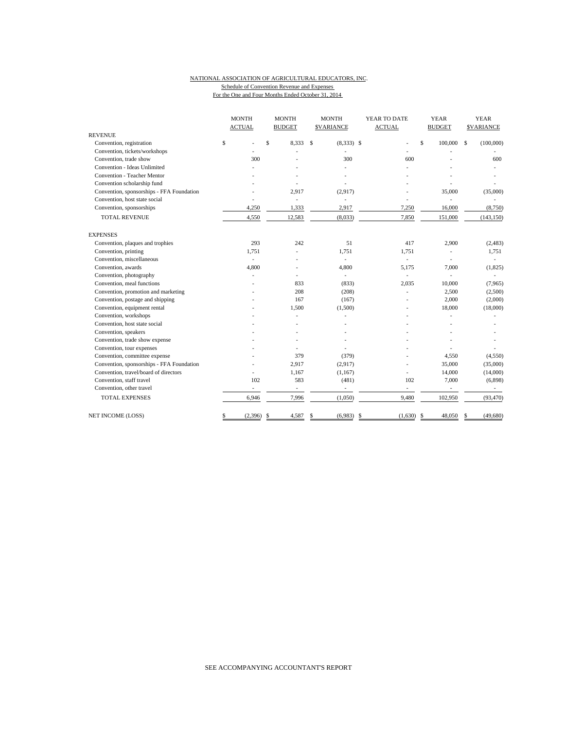#### NATIONAL ASSOCIATION OF AGRICULTURAL EDUCATORS, INC. Schedule of Convention Revenue and Expenses For the One and Four Months Ended October 31, 2014

|                                           | <b>MONTH</b>  | <b>MONTH</b>             | <b>MONTH</b>      | YEAR TO DATE             | <b>YEAR</b>              | <b>YEAR</b>       |
|-------------------------------------------|---------------|--------------------------|-------------------|--------------------------|--------------------------|-------------------|
|                                           | <b>ACTUAL</b> | <b>BUDGET</b>            | <b>\$VARIANCE</b> | <b>ACTUAL</b>            | <b>BUDGET</b>            | <b>\$VARIANCE</b> |
| <b>REVENUE</b>                            |               |                          |                   |                          |                          |                   |
| Convention, registration                  | \$            | \$<br>8,333              | S<br>$(8,333)$ \$ | L                        | \$<br>100,000            | (100,000)<br>\$   |
| Convention, tickets/workshops             |               |                          |                   |                          |                          |                   |
| Convention, trade show                    | 300           |                          | 300               | 600                      |                          | 600               |
| Convention - Ideas Unlimited              |               |                          |                   |                          |                          |                   |
| Convention - Teacher Mentor               |               |                          |                   |                          |                          |                   |
| Convention scholarship fund               |               |                          |                   |                          |                          |                   |
| Convention, sponsorships - FFA Foundation |               | 2,917                    | (2,917)           |                          | 35,000                   | (35,000)          |
| Convention, host state social             |               | $\overline{\phantom{a}}$ | ÷,                |                          |                          |                   |
| Convention, sponsorships                  | 4,250         | 1,333                    | 2,917             | 7,250                    | 16,000                   | (8,750)           |
| <b>TOTAL REVENUE</b>                      | 4,550         | 12,583                   | (8,033)           | 7,850                    | 151,000                  | (143, 150)        |
| <b>EXPENSES</b>                           |               |                          |                   |                          |                          |                   |
| Convention, plaques and trophies          | 293           | 242                      | 51                | 417                      | 2,900                    | (2, 483)          |
| Convention, printing                      | 1,751         |                          | 1,751             | 1,751                    |                          | 1,751             |
| Convention, miscellaneous                 | ÷.            |                          | ÷,                | ÷.                       |                          |                   |
| Convention, awards                        | 4,800         |                          | 4,800             | 5,175                    | 7,000                    | (1,825)           |
| Convention, photography                   |               |                          | ÷.                | ÷,                       |                          |                   |
| Convention, meal functions                |               | 833                      | (833)             | 2,035                    | 10,000                   | (7,965)           |
| Convention, promotion and marketing       |               | 208                      | (208)             | ÷,                       | 2,500                    | (2,500)           |
| Convention, postage and shipping          |               | 167                      | (167)             |                          | 2,000                    | (2,000)           |
| Convention, equipment rental              |               | 1,500                    | (1,500)           |                          | 18,000                   | (18,000)          |
| Convention, workshops                     |               |                          |                   |                          |                          |                   |
| Convention, host state social             |               |                          |                   |                          |                          |                   |
| Convention, speakers                      |               |                          |                   |                          |                          |                   |
| Convention, trade show expense            |               |                          |                   |                          |                          |                   |
| Convention, tour expenses                 |               |                          |                   |                          |                          |                   |
| Convention, committee expense             |               | 379                      | (379)             |                          | 4,550                    | (4,550)           |
| Convention, sponsorships - FFA Foundation |               | 2,917                    | (2,917)           |                          | 35,000                   | (35,000)          |
| Convention, travel/board of directors     |               | 1,167                    | (1,167)           |                          | 14,000                   | (14,000)          |
| Convention, staff travel                  | 102           | 583                      | (481)             | 102                      | 7,000                    | (6,898)           |
| Convention, other travel                  |               | ä,                       | ÷.                | $\overline{\phantom{a}}$ | $\overline{\phantom{a}}$ |                   |
| <b>TOTAL EXPENSES</b>                     | 6,946         | 7,996                    | (1,050)           | 9,480                    | 102,950                  | (93, 470)         |
| NET INCOME (LOSS)                         | (2,396)<br>\$ | 4,587<br>\$              | (6,983)<br>S      | \$<br>(1,630)            | -\$<br>48,050            | (49,680)          |